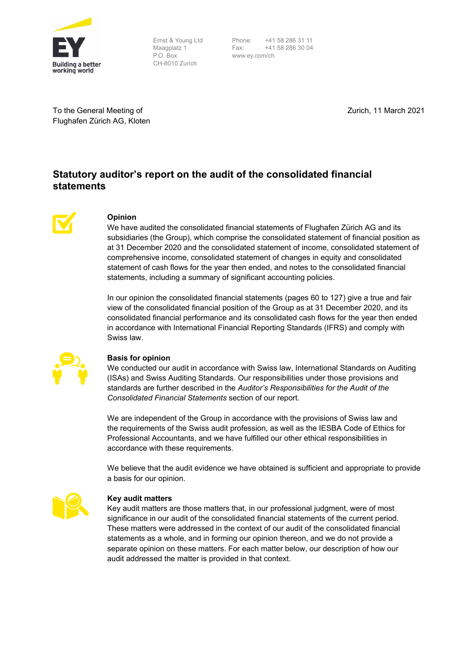

Ernst & Young Ltd Maagplatz 1 P.O. Box CH-8010 Zurich

Phone: +41 58 286 31 11 Fax: +41 58 286 30 04 www.ey.com/ch

To the General Meeting of Flughafen Zürich AG, Kloten Zurich, 11 March 2021

# **Statutory auditor's report on the audit of the consolidated financial statements**



# **Opinion**

We have audited the consolidated financial statements of Flughafen Zürich AG and its subsidiaries (the Group), which comprise the consolidated statement of financial position as at 31 December 2020 and the consolidated statement of income, consolidated statement of comprehensive income, consolidated statement of changes in equity and consolidated statement of cash flows for the year then ended, and notes to the consolidated financial statements, including a summary of significant accounting policies.

In our opinion the consolidated financial statements (pages 60 to 127) give a true and fair view of the consolidated financial position of the Group as at 31 December 2020, and its consolidated financial performance and its consolidated cash flows for the year then ended in accordance with International Financial Reporting Standards (IFRS) and comply with Swiss law.



#### **Basis for opinion**

We conducted our audit in accordance with Swiss law, International Standards on Auditing (ISAs) and Swiss Auditing Standards. Our responsibilities under those provisions and standards are further described in the *Auditor's Responsibilities for the Audit of the Consolidated Financial Statements* section of our report.

We are independent of the Group in accordance with the provisions of Swiss law and the requirements of the Swiss audit profession, as well as the IESBA Code of Ethics for Professional Accountants, and we have fulfilled our other ethical responsibilities in accordance with these requirements.

We believe that the audit evidence we have obtained is sufficient and appropriate to provide a basis for our opinion.



#### **Key audit matters**

Key audit matters are those matters that, in our professional judgment, were of most significance in our audit of the consolidated financial statements of the current period. These matters were addressed in the context of our audit of the consolidated financial statements as a whole, and in forming our opinion thereon, and we do not provide a separate opinion on these matters. For each matter below, our description of how our audit addressed the matter is provided in that context.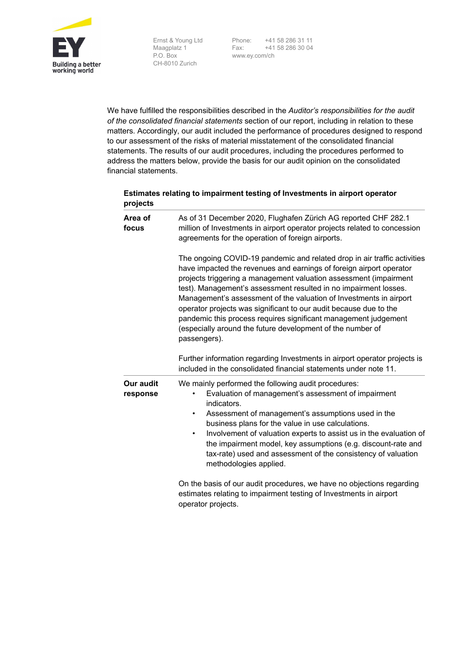

Maagplatz 1 P.O. Box CH-8010 Zurich

Ernst & Young Ltd Phone: +41 58 286 31 11 Fax: +41 58 286 30 04 www.ey.com/ch

We have fulfilled the responsibilities described in the *Auditor's responsibilities for the audit of the consolidated financial statements* section of our report, including in relation to these matters. Accordingly, our audit included the performance of procedures designed to respond to our assessment of the risks of material misstatement of the consolidated financial statements. The results of our audit procedures, including the procedures performed to address the matters below, provide the basis for our audit opinion on the consolidated financial statements.

#### **Estimates relating to impairment testing of Investments in airport operator projects**

| Area of<br>focus      | As of 31 December 2020, Flughafen Zürich AG reported CHF 282.1<br>million of Investments in airport operator projects related to concession<br>agreements for the operation of foreign airports.                                                                                                                                                                                                                                                                                                                                                                                     |  |
|-----------------------|--------------------------------------------------------------------------------------------------------------------------------------------------------------------------------------------------------------------------------------------------------------------------------------------------------------------------------------------------------------------------------------------------------------------------------------------------------------------------------------------------------------------------------------------------------------------------------------|--|
|                       | The ongoing COVID-19 pandemic and related drop in air traffic activities<br>have impacted the revenues and earnings of foreign airport operator<br>projects triggering a management valuation assessment (impairment<br>test). Management's assessment resulted in no impairment losses.<br>Management's assessment of the valuation of Investments in airport<br>operator projects was significant to our audit because due to the<br>pandemic this process requires significant management judgement<br>(especially around the future development of the number of<br>passengers). |  |
|                       | Further information regarding Investments in airport operator projects is<br>included in the consolidated financial statements under note 11.                                                                                                                                                                                                                                                                                                                                                                                                                                        |  |
| Our audit<br>response | We mainly performed the following audit procedures:<br>Evaluation of management's assessment of impairment<br>indicators.<br>Assessment of management's assumptions used in the<br>$\bullet$<br>business plans for the value in use calculations.<br>Involvement of valuation experts to assist us in the evaluation of<br>$\bullet$<br>the impairment model, key assumptions (e.g. discount-rate and<br>tax-rate) used and assessment of the consistency of valuation<br>methodologies applied.                                                                                     |  |
|                       | On the basis of our audit procedures, we have no objections regarding<br>estimates relating to impairment testing of Investments in airport                                                                                                                                                                                                                                                                                                                                                                                                                                          |  |

operator projects.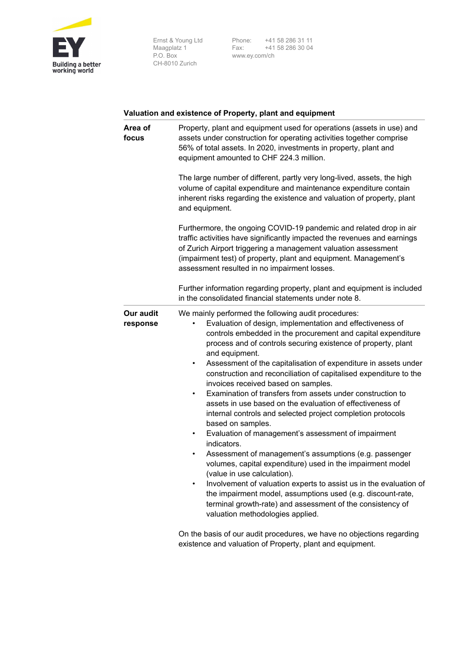

Ernst & Young Ltd Maagplatz 1 P.O. Box CH-8010 Zurich Phone: +41 58 286 31 11 Fax: +41 58 286 30 04 www.ey.com/ch

# **Valuation and existence of Property, plant and equipment**

| Area of<br>focus      | Property, plant and equipment used for operations (assets in use) and<br>assets under construction for operating activities together comprise<br>56% of total assets. In 2020, investments in property, plant and<br>equipment amounted to CHF 224.3 million.<br>The large number of different, partly very long-lived, assets, the high<br>volume of capital expenditure and maintenance expenditure contain<br>inherent risks regarding the existence and valuation of property, plant<br>and equipment.                                                                                                                                                                                                                                                                                                                                                                                                                                                                                                                                                                                                                                                |  |  |
|-----------------------|-----------------------------------------------------------------------------------------------------------------------------------------------------------------------------------------------------------------------------------------------------------------------------------------------------------------------------------------------------------------------------------------------------------------------------------------------------------------------------------------------------------------------------------------------------------------------------------------------------------------------------------------------------------------------------------------------------------------------------------------------------------------------------------------------------------------------------------------------------------------------------------------------------------------------------------------------------------------------------------------------------------------------------------------------------------------------------------------------------------------------------------------------------------|--|--|
|                       |                                                                                                                                                                                                                                                                                                                                                                                                                                                                                                                                                                                                                                                                                                                                                                                                                                                                                                                                                                                                                                                                                                                                                           |  |  |
|                       | Furthermore, the ongoing COVID-19 pandemic and related drop in air<br>traffic activities have significantly impacted the revenues and earnings<br>of Zurich Airport triggering a management valuation assessment<br>(impairment test) of property, plant and equipment. Management's<br>assessment resulted in no impairment losses.                                                                                                                                                                                                                                                                                                                                                                                                                                                                                                                                                                                                                                                                                                                                                                                                                      |  |  |
|                       | Further information regarding property, plant and equipment is included<br>in the consolidated financial statements under note 8.                                                                                                                                                                                                                                                                                                                                                                                                                                                                                                                                                                                                                                                                                                                                                                                                                                                                                                                                                                                                                         |  |  |
| Our audit<br>response | We mainly performed the following audit procedures:<br>Evaluation of design, implementation and effectiveness of<br>controls embedded in the procurement and capital expenditure<br>process and of controls securing existence of property, plant<br>and equipment.<br>Assessment of the capitalisation of expenditure in assets under<br>٠<br>construction and reconciliation of capitalised expenditure to the<br>invoices received based on samples.<br>Examination of transfers from assets under construction to<br>٠<br>assets in use based on the evaluation of effectiveness of<br>internal controls and selected project completion protocols<br>based on samples.<br>Evaluation of management's assessment of impairment<br>٠<br>indicators.<br>Assessment of management's assumptions (e.g. passenger<br>٠<br>volumes, capital expenditure) used in the impairment model<br>(value in use calculation).<br>Involvement of valuation experts to assist us in the evaluation of<br>the impairment model, assumptions used (e.g. discount-rate,<br>terminal growth-rate) and assessment of the consistency of<br>valuation methodologies applied. |  |  |
|                       | On the basis of our audit procedures, we have no objections regarding                                                                                                                                                                                                                                                                                                                                                                                                                                                                                                                                                                                                                                                                                                                                                                                                                                                                                                                                                                                                                                                                                     |  |  |

On the basis of our audit procedures, we have no objections regarding existence and valuation of Property, plant and equipment.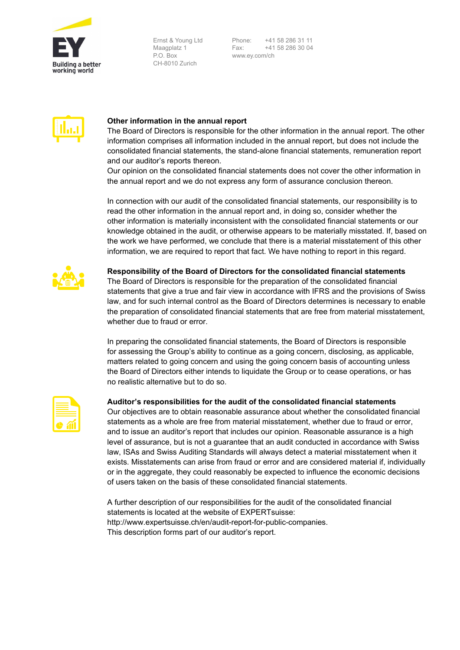

Ernst & Young Ltd Maagplatz 1 P.O. Box CH-8010 Zurich

Phone: +41 58 286 31 11 Fax: +41 58 286 30 04 www.ey.com/ch



### **Other information in the annual report**

The Board of Directors is responsible for the other information in the annual report. The other information comprises all information included in the annual report, but does not include the consolidated financial statements, the stand-alone financial statements, remuneration report and our auditor's reports thereon.

Our opinion on the consolidated financial statements does not cover the other information in the annual report and we do not express any form of assurance conclusion thereon.

In connection with our audit of the consolidated financial statements, our responsibility is to read the other information in the annual report and, in doing so, consider whether the other information is materially inconsistent with the consolidated financial statements or our knowledge obtained in the audit, or otherwise appears to be materially misstated. If, based on the work we have performed, we conclude that there is a material misstatement of this other information, we are required to report that fact. We have nothing to report in this regard.



**Responsibility of the Board of Directors for the consolidated financial statements** 

The Board of Directors is responsible for the preparation of the consolidated financial statements that give a true and fair view in accordance with IFRS and the provisions of Swiss law, and for such internal control as the Board of Directors determines is necessary to enable the preparation of consolidated financial statements that are free from material misstatement, whether due to fraud or error.

In preparing the consolidated financial statements, the Board of Directors is responsible for assessing the Group's ability to continue as a going concern, disclosing, as applicable, matters related to going concern and using the going concern basis of accounting unless the Board of Directors either intends to liquidate the Group or to cease operations, or has no realistic alternative but to do so.

| <u> The Common Section of the Common Section of</u><br><u> The Common Section of the Common Section of</u><br><u> The Common Section of the Common Section of</u><br><u> The Common Section of the Common Section of</u> |  |
|--------------------------------------------------------------------------------------------------------------------------------------------------------------------------------------------------------------------------|--|
|                                                                                                                                                                                                                          |  |

#### **Auditor's responsibilities for the audit of the consolidated financial statements**

Our objectives are to obtain reasonable assurance about whether the consolidated financial statements as a whole are free from material misstatement, whether due to fraud or error, and to issue an auditor's report that includes our opinion. Reasonable assurance is a high level of assurance, but is not a guarantee that an audit conducted in accordance with Swiss law, ISAs and Swiss Auditing Standards will always detect a material misstatement when it exists. Misstatements can arise from fraud or error and are considered material if, individually or in the aggregate, they could reasonably be expected to influence the economic decisions of users taken on the basis of these consolidated financial statements.

A further description of our responsibilities for the audit of the consolidated financial statements is located at the website of EXPERTsuisse: http://www.expertsuisse.ch/en/audit-report-for-public-companies. This description forms part of our auditor's report.